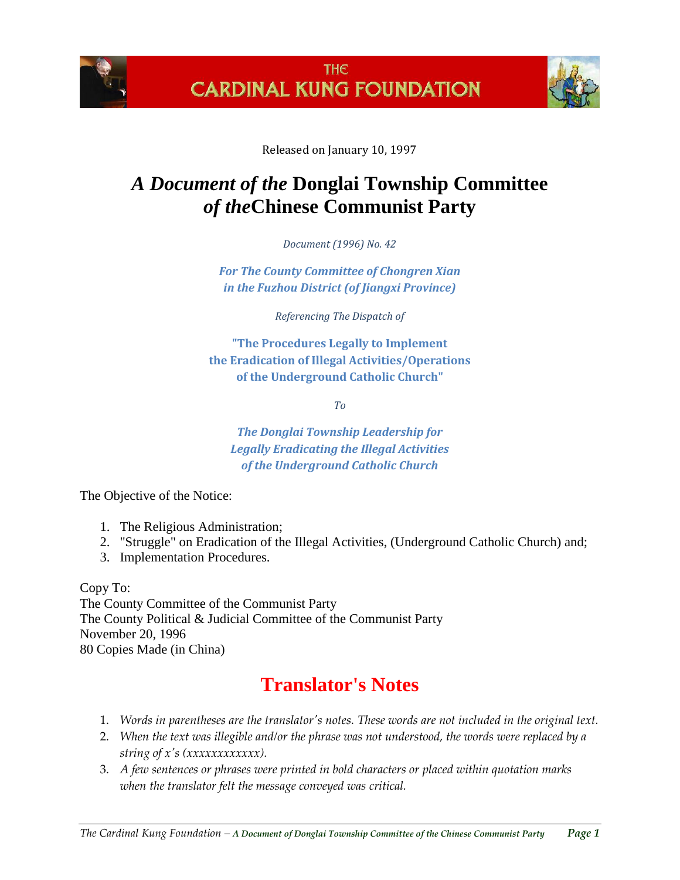



Released on January 10, 1997

# *A Document of the* **Donglai Township Committee** *of the***Chinese Communist Party**

*Document (1996) No. 42*

*For The County Committee of Chongren Xian in the Fuzhou District (of Jiangxi Province)*

*Referencing The Dispatch of*

**"The Procedures Legally to Implement the Eradication of Illegal Activities/Operations of the Underground Catholic Church"**

*To*

*The Donglai Township Leadership for Legally Eradicating the Illegal Activities of the Underground Catholic Church*

The Objective of the Notice:

- 1. The Religious Administration;
- 2. "Struggle" on Eradication of the Illegal Activities, (Underground Catholic Church) and;
- 3. Implementation Procedures.

Copy To: The County Committee of the Communist Party The County Political & Judicial Committee of the Communist Party November 20, 1996 80 Copies Made (in China)

# **Translator's Notes**

- 1. *Words in parentheses are the translator's notes. These words are not included in the original text.*
- 2. *When the text was illegible and/or the phrase was not understood, the words were replaced by a string of x's (xxxxxxxxxxxx).*
- 3. *A few sentences or phrases were printed in bold characters or placed within quotation marks when the translator felt the message conveyed was critical.*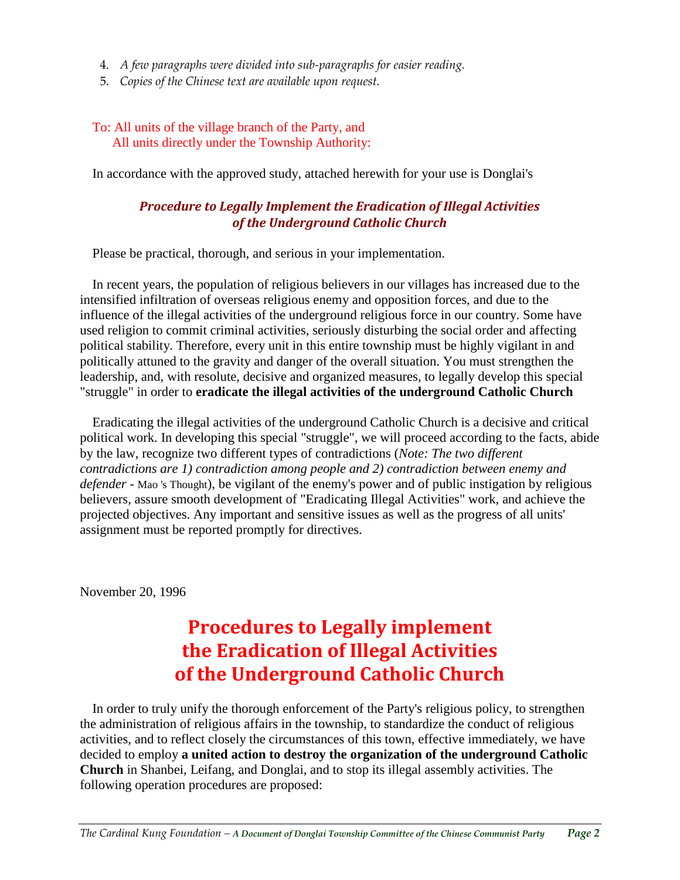- 4. *A few paragraphs were divided into sub-paragraphs for easier reading.*
- 5. *Copies of the Chinese text are available upon request.*

#### To: All units of the village branch of the Party, and All units directly under the Township Authority:

In accordance with the approved study, attached herewith for your use is Donglai's

#### *Procedure to Legally Implement the Eradication of Illegal Activities of the Underground Catholic Church*

Please be practical, thorough, and serious in your implementation.

In recent years, the population of religious believers in our villages has increased due to the intensified infiltration of overseas religious enemy and opposition forces, and due to the influence of the illegal activities of the underground religious force in our country. Some have used religion to commit criminal activities, seriously disturbing the social order and affecting political stability. Therefore, every unit in this entire township must be highly vigilant in and politically attuned to the gravity and danger of the overall situation. You must strengthen the leadership, and, with resolute, decisive and organized measures, to legally develop this special "struggle" in order to **eradicate the illegal activities of the underground Catholic Church**

Eradicating the illegal activities of the underground Catholic Church is a decisive and critical political work. In developing this special "struggle", we will proceed according to the facts, abide by the law, recognize two different types of contradictions (*Note: The two different contradictions are 1) contradiction among people and 2) contradiction between enemy and defender* - Mao 's Thought), be vigilant of the enemy's power and of public instigation by religious believers, assure smooth development of "Eradicating Illegal Activities" work, and achieve the projected objectives. Any important and sensitive issues as well as the progress of all units' assignment must be reported promptly for directives.

November 20, 1996

# **Procedures to Legally implement the Eradication of Illegal Activities of the Underground Catholic Church**

In order to truly unify the thorough enforcement of the Party's religious policy, to strengthen the administration of religious affairs in the township, to standardize the conduct of religious activities, and to reflect closely the circumstances of this town, effective immediately, we have decided to employ **a united action to destroy the organization of the underground Catholic Church** in Shanbei, Leifang, and Donglai, and to stop its illegal assembly activities. The following operation procedures are proposed: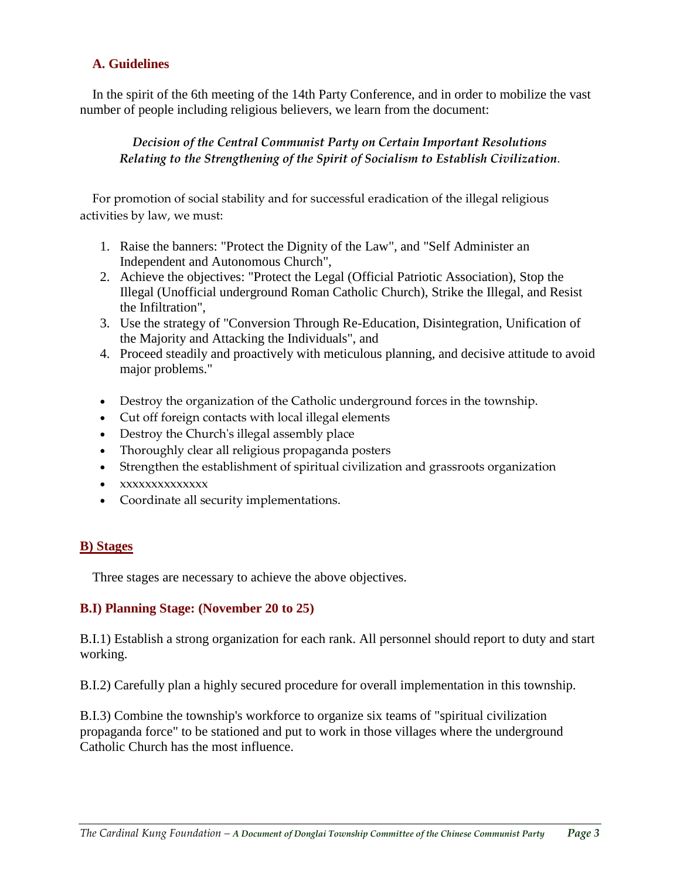#### **A. Guidelines**

In the spirit of the 6th meeting of the 14th Party Conference, and in order to mobilize the vast number of people including religious believers, we learn from the document:

#### *Decision of the Central Communist Party on Certain Important Resolutions Relating to the Strengthening of the Spirit of Socialism to Establish Civilization*.

For promotion of social stability and for successful eradication of the illegal religious activities by law, we must:

- 1. Raise the banners: "Protect the Dignity of the Law", and "Self Administer an Independent and Autonomous Church",
- 2. Achieve the objectives: "Protect the Legal (Official Patriotic Association), Stop the Illegal (Unofficial underground Roman Catholic Church), Strike the Illegal, and Resist the Infiltration",
- 3. Use the strategy of "Conversion Through Re-Education, Disintegration, Unification of the Majority and Attacking the Individuals", and
- 4. Proceed steadily and proactively with meticulous planning, and decisive attitude to avoid major problems."
- Destroy the organization of the Catholic underground forces in the township.
- Cut off foreign contacts with local illegal elements
- Destroy the Church's illegal assembly place
- Thoroughly clear all religious propaganda posters
- Strengthen the establishment of spiritual civilization and grassroots organization
- xxxxxxxxxxxxxx
- Coordinate all security implementations.

#### **B) Stages**

Three stages are necessary to achieve the above objectives.

#### **B.I) Planning Stage: (November 20 to 25)**

B.I.1) Establish a strong organization for each rank. All personnel should report to duty and start working.

B.I.2) Carefully plan a highly secured procedure for overall implementation in this township.

B.I.3) Combine the township's workforce to organize six teams of "spiritual civilization propaganda force" to be stationed and put to work in those villages where the underground Catholic Church has the most influence.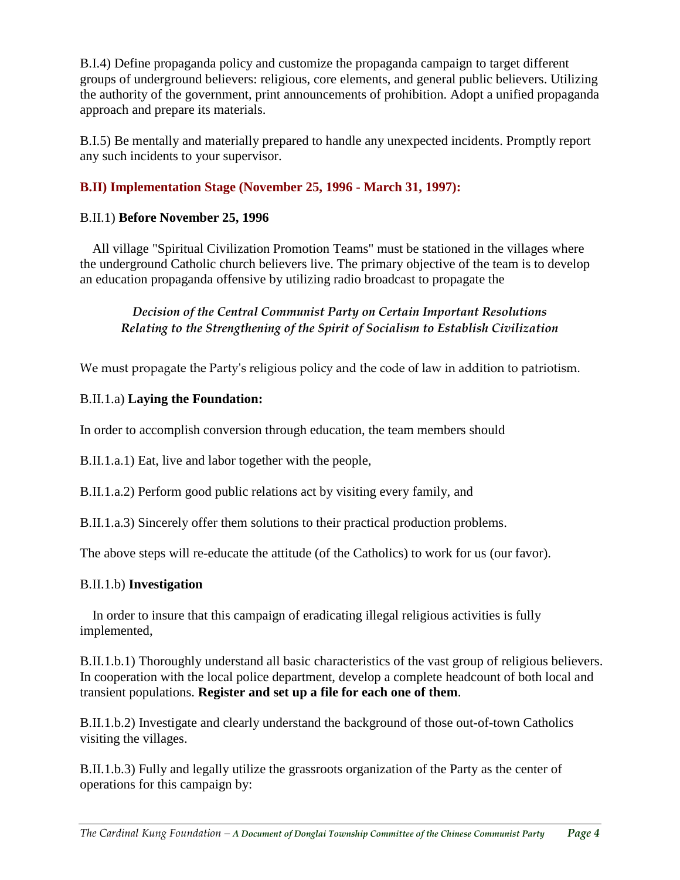B.I.4) Define propaganda policy and customize the propaganda campaign to target different groups of underground believers: religious, core elements, and general public believers. Utilizing the authority of the government, print announcements of prohibition. Adopt a unified propaganda approach and prepare its materials.

B.I.5) Be mentally and materially prepared to handle any unexpected incidents. Promptly report any such incidents to your supervisor.

## **B.II) Implementation Stage (November 25, 1996 - March 31, 1997):**

## B.II.1) **Before November 25, 1996**

All village "Spiritual Civilization Promotion Teams" must be stationed in the villages where the underground Catholic church believers live. The primary objective of the team is to develop an education propaganda offensive by utilizing radio broadcast to propagate the

## *Decision of the Central Communist Party on Certain Important Resolutions Relating to the Strengthening of the Spirit of Socialism to Establish Civilization*

We must propagate the Party's religious policy and the code of law in addition to patriotism.

## B.II.1.a) **Laying the Foundation:**

In order to accomplish conversion through education, the team members should

B.II.1.a.1) Eat, live and labor together with the people,

B.II.1.a.2) Perform good public relations act by visiting every family, and

B.II.1.a.3) Sincerely offer them solutions to their practical production problems.

The above steps will re-educate the attitude (of the Catholics) to work for us (our favor).

## B.II.1.b) **Investigation**

In order to insure that this campaign of eradicating illegal religious activities is fully implemented,

B.II.1.b.1) Thoroughly understand all basic characteristics of the vast group of religious believers. In cooperation with the local police department, develop a complete headcount of both local and transient populations. **Register and set up a file for each one of them**.

B.II.1.b.2) Investigate and clearly understand the background of those out-of-town Catholics visiting the villages.

B.II.1.b.3) Fully and legally utilize the grassroots organization of the Party as the center of operations for this campaign by: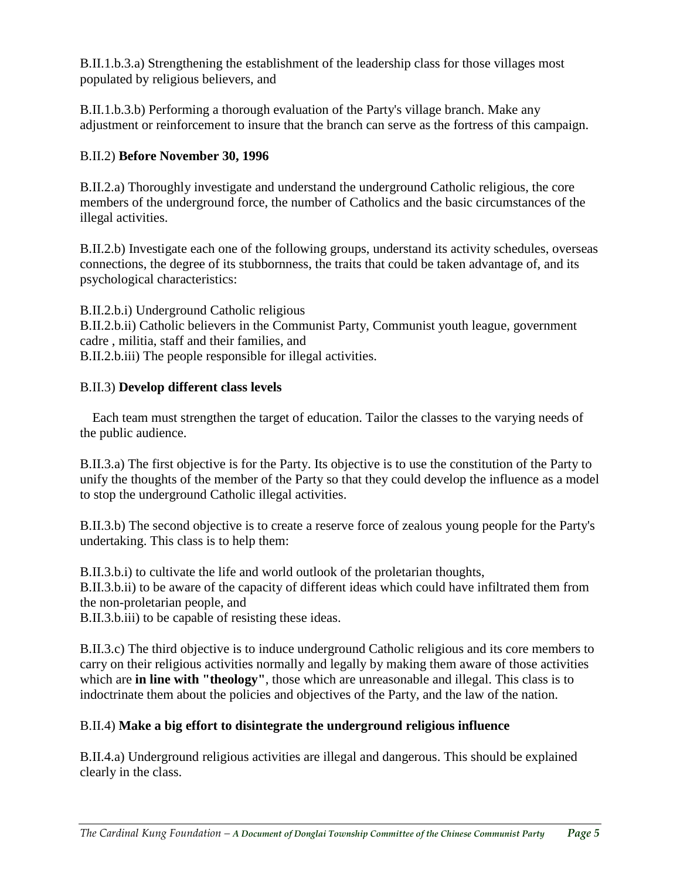B.II.1.b.3.a) Strengthening the establishment of the leadership class for those villages most populated by religious believers, and

B.II.1.b.3.b) Performing a thorough evaluation of the Party's village branch. Make any adjustment or reinforcement to insure that the branch can serve as the fortress of this campaign.

### B.II.2) **Before November 30, 1996**

B.II.2.a) Thoroughly investigate and understand the underground Catholic religious, the core members of the underground force, the number of Catholics and the basic circumstances of the illegal activities.

B.II.2.b) Investigate each one of the following groups, understand its activity schedules, overseas connections, the degree of its stubbornness, the traits that could be taken advantage of, and its psychological characteristics:

B.II.2.b.i) Underground Catholic religious

B.II.2.b.ii) Catholic believers in the Communist Party, Communist youth league, government cadre , militia, staff and their families, and

B.II.2.b.iii) The people responsible for illegal activities.

### B.II.3) **Develop different class levels**

Each team must strengthen the target of education. Tailor the classes to the varying needs of the public audience.

B.II.3.a) The first objective is for the Party. Its objective is to use the constitution of the Party to unify the thoughts of the member of the Party so that they could develop the influence as a model to stop the underground Catholic illegal activities.

B.II.3.b) The second objective is to create a reserve force of zealous young people for the Party's undertaking. This class is to help them:

B.II.3.b.i) to cultivate the life and world outlook of the proletarian thoughts, B.II.3.b.ii) to be aware of the capacity of different ideas which could have infiltrated them from the non-proletarian people, and

B.II.3.b.iii) to be capable of resisting these ideas.

B.II.3.c) The third objective is to induce underground Catholic religious and its core members to carry on their religious activities normally and legally by making them aware of those activities which are **in line with "theology"**, those which are unreasonable and illegal. This class is to indoctrinate them about the policies and objectives of the Party, and the law of the nation.

## B.II.4) **Make a big effort to disintegrate the underground religious influence**

B.II.4.a) Underground religious activities are illegal and dangerous. This should be explained clearly in the class.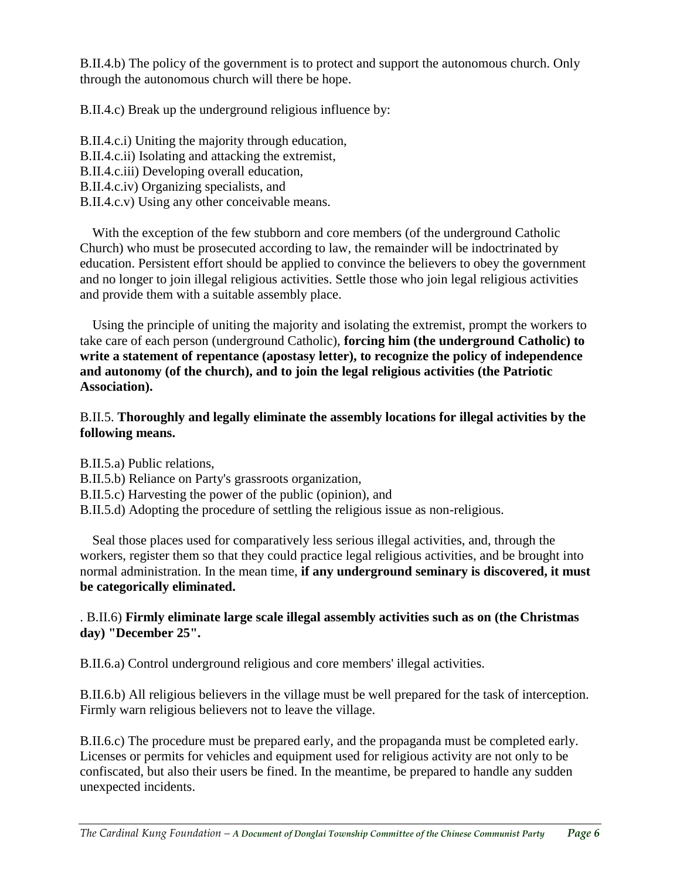B.II.4.b) The policy of the government is to protect and support the autonomous church. Only through the autonomous church will there be hope.

B.II.4.c) Break up the underground religious influence by:

B.II.4.c.i) Uniting the majority through education, B.II.4.c.ii) Isolating and attacking the extremist, B.II.4.c.iii) Developing overall education, B.II.4.c.iv) Organizing specialists, and B.II.4.c.v) Using any other conceivable means.

With the exception of the few stubborn and core members (of the underground Catholic Church) who must be prosecuted according to law, the remainder will be indoctrinated by education. Persistent effort should be applied to convince the believers to obey the government and no longer to join illegal religious activities. Settle those who join legal religious activities and provide them with a suitable assembly place.

Using the principle of uniting the majority and isolating the extremist, prompt the workers to take care of each person (underground Catholic), **forcing him (the underground Catholic) to write a statement of repentance (apostasy letter), to recognize the policy of independence and autonomy (of the church), and to join the legal religious activities (the Patriotic Association).**

### B.II.5. **Thoroughly and legally eliminate the assembly locations for illegal activities by the following means.**

B.II.5.a) Public relations,

- B.II.5.b) Reliance on Party's grassroots organization,
- B.II.5.c) Harvesting the power of the public (opinion), and
- B.II.5.d) Adopting the procedure of settling the religious issue as non-religious.

Seal those places used for comparatively less serious illegal activities, and, through the workers, register them so that they could practice legal religious activities, and be brought into normal administration. In the mean time, **if any underground seminary is discovered, it must be categorically eliminated.**

### . B.II.6) **Firmly eliminate large scale illegal assembly activities such as on (the Christmas day) "December 25".**

B.II.6.a) Control underground religious and core members' illegal activities.

B.II.6.b) All religious believers in the village must be well prepared for the task of interception. Firmly warn religious believers not to leave the village.

B.II.6.c) The procedure must be prepared early, and the propaganda must be completed early. Licenses or permits for vehicles and equipment used for religious activity are not only to be confiscated, but also their users be fined. In the meantime, be prepared to handle any sudden unexpected incidents.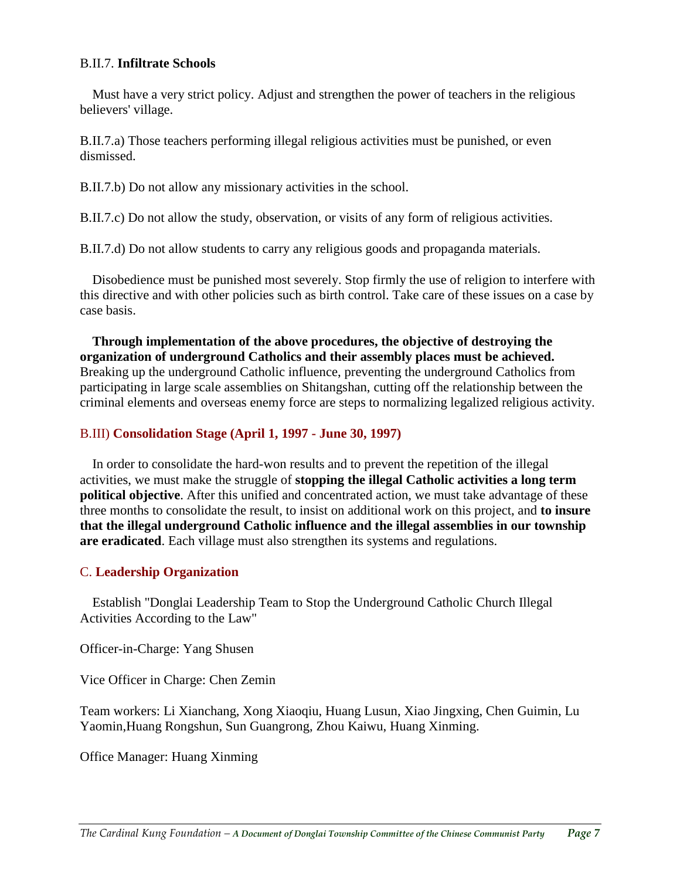#### B.II.7. **Infiltrate Schools**

Must have a very strict policy. Adjust and strengthen the power of teachers in the religious believers' village.

B.II.7.a) Those teachers performing illegal religious activities must be punished, or even dismissed.

B.II.7.b) Do not allow any missionary activities in the school.

B.II.7.c) Do not allow the study, observation, or visits of any form of religious activities.

B.II.7.d) Do not allow students to carry any religious goods and propaganda materials.

Disobedience must be punished most severely. Stop firmly the use of religion to interfere with this directive and with other policies such as birth control. Take care of these issues on a case by case basis.

**Through implementation of the above procedures, the objective of destroying the organization of underground Catholics and their assembly places must be achieved.** Breaking up the underground Catholic influence, preventing the underground Catholics from participating in large scale assemblies on Shitangshan, cutting off the relationship between the criminal elements and overseas enemy force are steps to normalizing legalized religious activity.

#### B.III) **Consolidation Stage (April 1, 1997 - June 30, 1997)**

In order to consolidate the hard-won results and to prevent the repetition of the illegal activities, we must make the struggle of **stopping the illegal Catholic activities a long term political objective**. After this unified and concentrated action, we must take advantage of these three months to consolidate the result, to insist on additional work on this project, and **to insure that the illegal underground Catholic influence and the illegal assemblies in our township are eradicated**. Each village must also strengthen its systems and regulations.

#### C. **Leadership Organization**

Establish "Donglai Leadership Team to Stop the Underground Catholic Church Illegal Activities According to the Law"

Officer-in-Charge: Yang Shusen

Vice Officer in Charge: Chen Zemin

Team workers: Li Xianchang, Xong Xiaoqiu, Huang Lusun, Xiao Jingxing, Chen Guimin, Lu Yaomin,Huang Rongshun, Sun Guangrong, Zhou Kaiwu, Huang Xinming.

Office Manager: Huang Xinming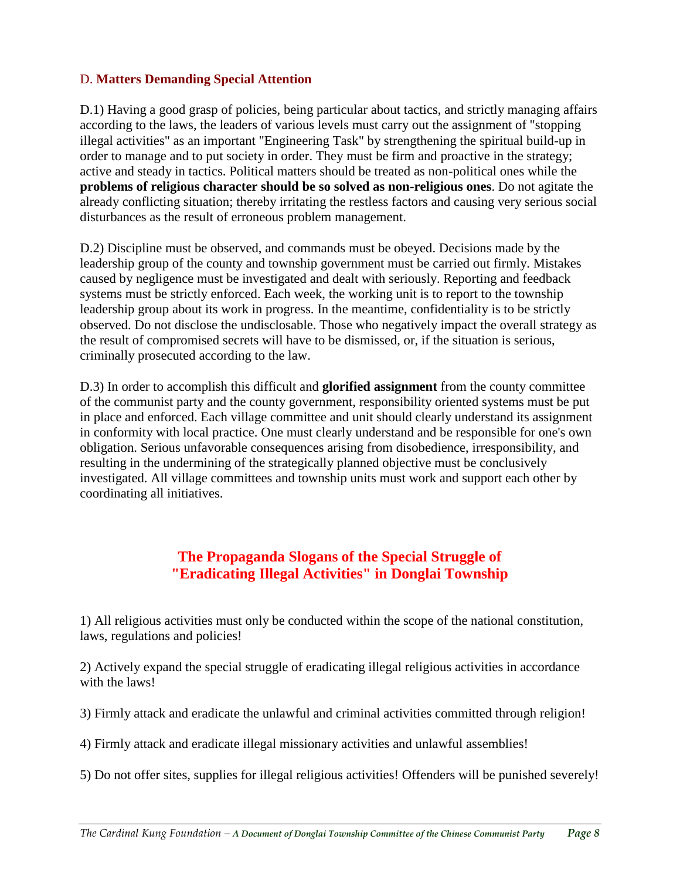#### D. **Matters Demanding Special Attention**

D.1) Having a good grasp of policies, being particular about tactics, and strictly managing affairs according to the laws, the leaders of various levels must carry out the assignment of "stopping illegal activities" as an important "Engineering Task" by strengthening the spiritual build-up in order to manage and to put society in order. They must be firm and proactive in the strategy; active and steady in tactics. Political matters should be treated as non-political ones while the **problems of religious character should be so solved as non-religious ones**. Do not agitate the already conflicting situation; thereby irritating the restless factors and causing very serious social disturbances as the result of erroneous problem management.

D.2) Discipline must be observed, and commands must be obeyed. Decisions made by the leadership group of the county and township government must be carried out firmly. Mistakes caused by negligence must be investigated and dealt with seriously. Reporting and feedback systems must be strictly enforced. Each week, the working unit is to report to the township leadership group about its work in progress. In the meantime, confidentiality is to be strictly observed. Do not disclose the undisclosable. Those who negatively impact the overall strategy as the result of compromised secrets will have to be dismissed, or, if the situation is serious, criminally prosecuted according to the law.

D.3) In order to accomplish this difficult and **glorified assignment** from the county committee of the communist party and the county government, responsibility oriented systems must be put in place and enforced. Each village committee and unit should clearly understand its assignment in conformity with local practice. One must clearly understand and be responsible for one's own obligation. Serious unfavorable consequences arising from disobedience, irresponsibility, and resulting in the undermining of the strategically planned objective must be conclusively investigated. All village committees and township units must work and support each other by coordinating all initiatives.

# **The Propaganda Slogans of the Special Struggle of "Eradicating Illegal Activities" in Donglai Township**

1) All religious activities must only be conducted within the scope of the national constitution, laws, regulations and policies!

2) Actively expand the special struggle of eradicating illegal religious activities in accordance with the laws!

3) Firmly attack and eradicate the unlawful and criminal activities committed through religion!

4) Firmly attack and eradicate illegal missionary activities and unlawful assemblies!

5) Do not offer sites, supplies for illegal religious activities! Offenders will be punished severely!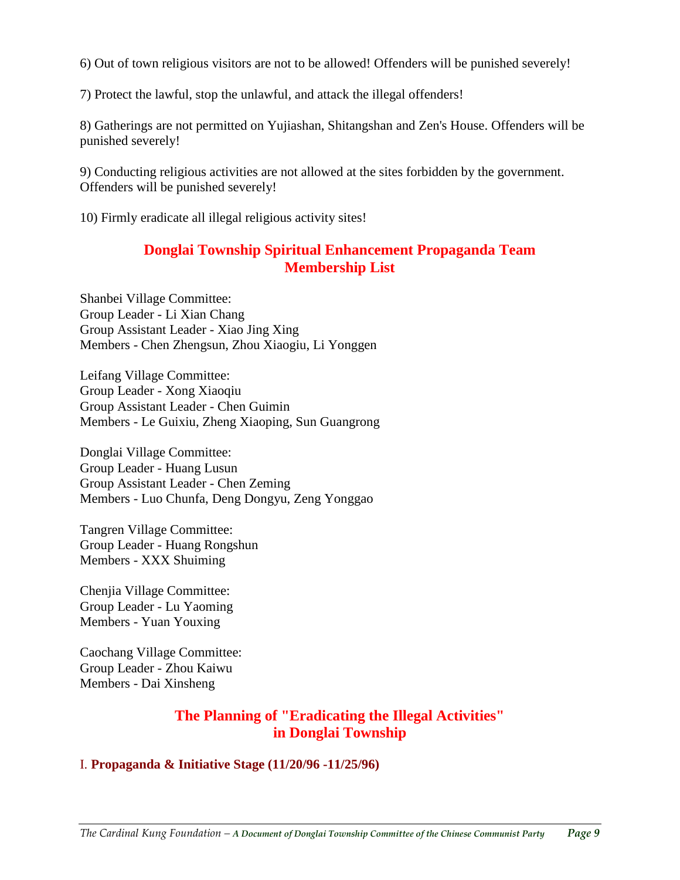6) Out of town religious visitors are not to be allowed! Offenders will be punished severely!

7) Protect the lawful, stop the unlawful, and attack the illegal offenders!

8) Gatherings are not permitted on Yujiashan, Shitangshan and Zen's House. Offenders will be punished severely!

9) Conducting religious activities are not allowed at the sites forbidden by the government. Offenders will be punished severely!

10) Firmly eradicate all illegal religious activity sites!

# **Donglai Township Spiritual Enhancement Propaganda Team Membership List**

Shanbei Village Committee: Group Leader - Li Xian Chang Group Assistant Leader - Xiao Jing Xing Members - Chen Zhengsun, Zhou Xiaogiu, Li Yonggen

Leifang Village Committee: Group Leader - Xong Xiaoqiu Group Assistant Leader - Chen Guimin Members - Le Guixiu, Zheng Xiaoping, Sun Guangrong

Donglai Village Committee: Group Leader - Huang Lusun Group Assistant Leader - Chen Zeming Members - Luo Chunfa, Deng Dongyu, Zeng Yonggao

Tangren Village Committee: Group Leader - Huang Rongshun Members - XXX Shuiming

Chenjia Village Committee: Group Leader - Lu Yaoming Members - Yuan Youxing

Caochang Village Committee: Group Leader - Zhou Kaiwu Members - Dai Xinsheng

## **The Planning of "Eradicating the Illegal Activities" in Donglai Township**

#### I. **Propaganda & Initiative Stage (11/20/96 -11/25/96)**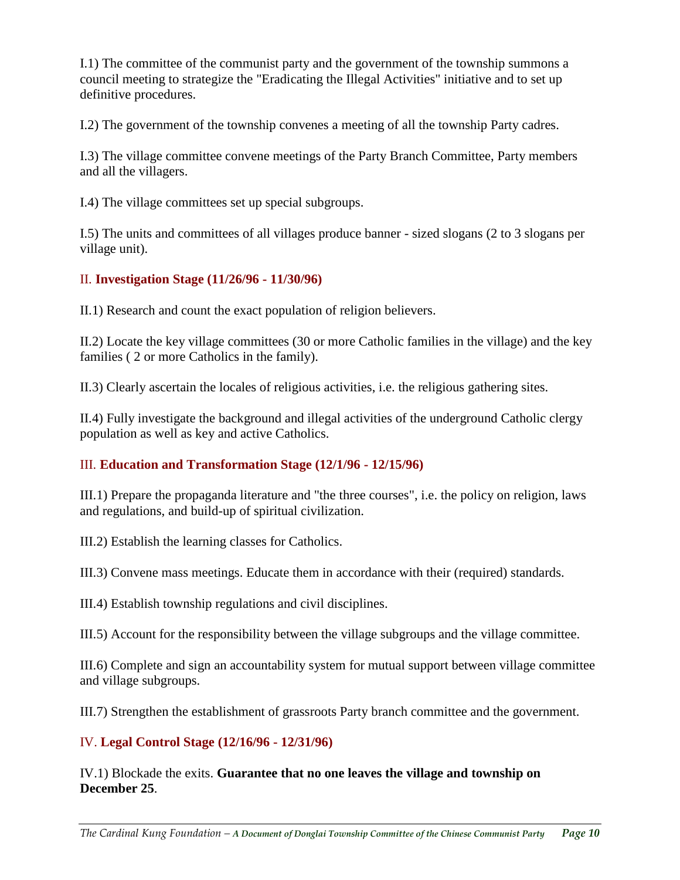I.1) The committee of the communist party and the government of the township summons a council meeting to strategize the "Eradicating the Illegal Activities" initiative and to set up definitive procedures.

I.2) The government of the township convenes a meeting of all the township Party cadres.

I.3) The village committee convene meetings of the Party Branch Committee, Party members and all the villagers.

I.4) The village committees set up special subgroups.

I.5) The units and committees of all villages produce banner - sized slogans (2 to 3 slogans per village unit).

#### II. **Investigation Stage (11/26/96 - 11/30/96)**

II.1) Research and count the exact population of religion believers.

II.2) Locate the key village committees (30 or more Catholic families in the village) and the key families ( 2 or more Catholics in the family).

II.3) Clearly ascertain the locales of religious activities, i.e. the religious gathering sites.

II.4) Fully investigate the background and illegal activities of the underground Catholic clergy population as well as key and active Catholics.

#### III. **Education and Transformation Stage (12/1/96 - 12/15/96)**

III.1) Prepare the propaganda literature and "the three courses", i.e. the policy on religion, laws and regulations, and build-up of spiritual civilization.

III.2) Establish the learning classes for Catholics.

III.3) Convene mass meetings. Educate them in accordance with their (required) standards.

III.4) Establish township regulations and civil disciplines.

III.5) Account for the responsibility between the village subgroups and the village committee.

III.6) Complete and sign an accountability system for mutual support between village committee and village subgroups.

III.7) Strengthen the establishment of grassroots Party branch committee and the government.

#### IV. **Legal Control Stage (12/16/96 - 12/31/96)**

IV.1) Blockade the exits. **Guarantee that no one leaves the village and township on December 25**.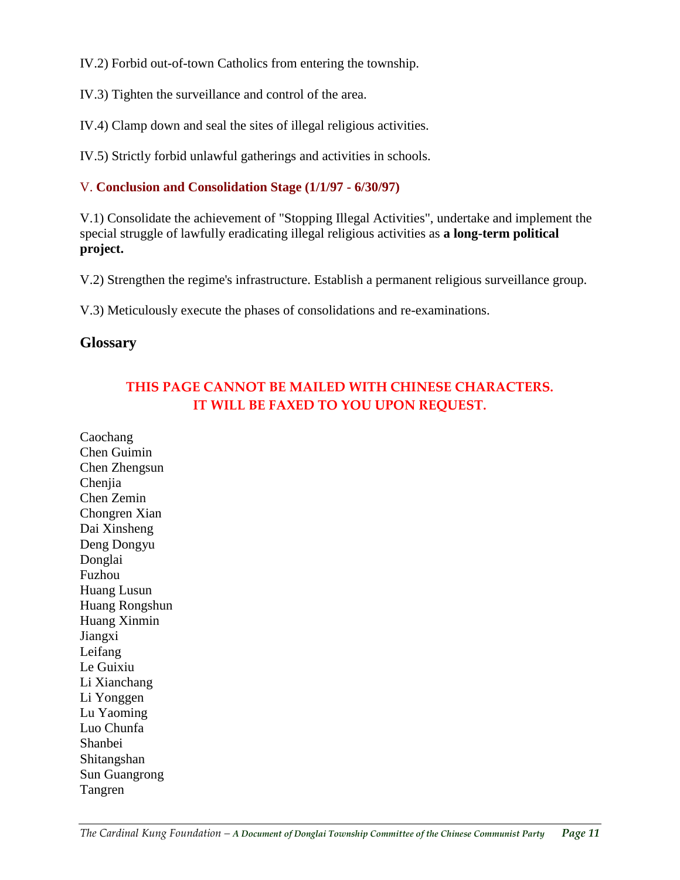IV.2) Forbid out-of-town Catholics from entering the township.

IV.3) Tighten the surveillance and control of the area.

IV.4) Clamp down and seal the sites of illegal religious activities.

IV.5) Strictly forbid unlawful gatherings and activities in schools.

#### V. **Conclusion and Consolidation Stage (1/1/97 - 6/30/97)**

V.1) Consolidate the achievement of "Stopping Illegal Activities", undertake and implement the special struggle of lawfully eradicating illegal religious activities as **a long-term political project.** 

V.2) Strengthen the regime's infrastructure. Establish a permanent religious surveillance group.

V.3) Meticulously execute the phases of consolidations and re-examinations.

### **Glossary**

# **THIS PAGE CANNOT BE MAILED WITH CHINESE CHARACTERS. IT WILL BE FAXED TO YOU UPON REQUEST.**

Caochang Chen Guimin Chen Zhengsun Chenjia Chen Zemin Chongren Xian Dai Xinsheng Deng Dongyu Donglai Fuzhou Huang Lusun Huang Rongshun Huang Xinmin Jiangxi Leifang Le Guixiu Li Xianchang Li Yonggen Lu Yaoming Luo Chunfa Shanbei Shitangshan Sun Guangrong Tangren